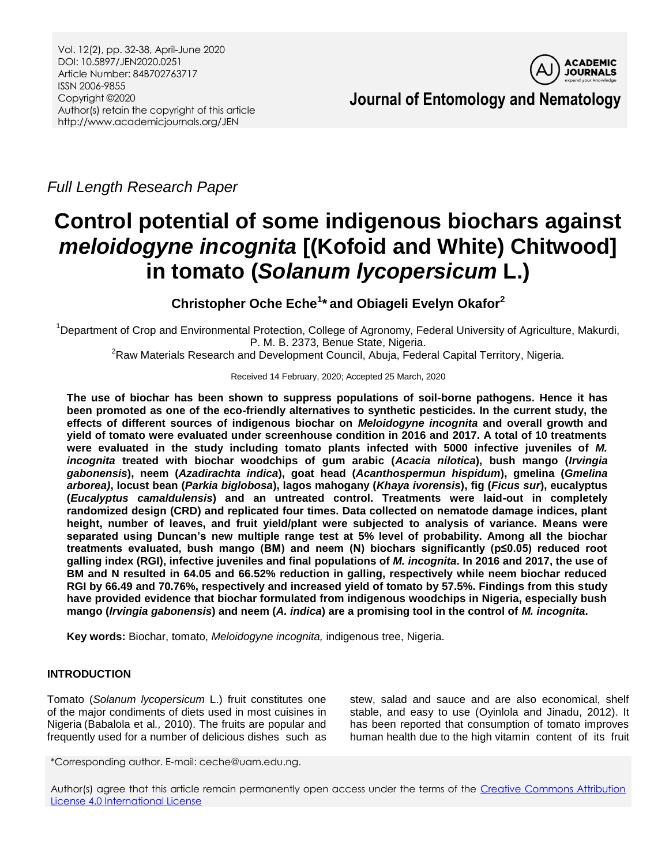

*Full Length Research Paper*

# **Control potential of some indigenous biochars against**  *meloidogyne incognita* **[(Kofoid and White) Chitwood] in tomato (***Solanum lycopersicum* **L.)**

# **Christopher Oche Eche<sup>1</sup> \* and Obiageli Evelyn Okafor<sup>2</sup>**

<sup>1</sup>Department of Crop and Environmental Protection, College of Agronomy, Federal University of Agriculture, Makurdi, P. M. B. 2373, Benue State, Nigeria.

<sup>2</sup>Raw Materials Research and Development Council, Abuja, Federal Capital Territory, Nigeria.

# Received 14 February, 2020; Accepted 25 March, 2020

**The use of biochar has been shown to suppress populations of soil-borne pathogens. Hence it has been promoted as one of the eco-friendly alternatives to synthetic pesticides. In the current study, the effects of different sources of indigenous biochar on** *Meloidogyne incognita* **and overall growth and yield of tomato were evaluated under screenhouse condition in 2016 and 2017. A total of 10 treatments were evaluated in the study including tomato plants infected with 5000 infective juveniles of** *M. incognita* **treated with biochar woodchips of gum arabic (***Acacia nilotica***), bush mango (***Irvingia gabonensis***), neem (***Azadirachta indica***), goat head (***Acanthospermun hispidum***), gmelina (***Gmelina arborea)***, locust bean (***Parkia biglobosa***), lagos mahogany (***Khaya ivorensis***), fig (***Ficus sur***), eucalyptus (***Eucalyptus camaldulensis***) and an untreated control. Treatments were laid-out in completely randomized design (CRD) and replicated four times. Data collected on nematode damage indices, plant height, number of leaves, and fruit yield/plant were subjected to analysis of variance. Means were separated using Duncan's new multiple range test at 5% level of probability. Among all the biochar treatments evaluated, bush mango (BM) and neem (N) biochars significantly (p≤0.05) reduced root galling index (RGI), infective juveniles and final populations of** *M. incognita***. In 2016 and 2017, the use of BM and N resulted in 64.05 and 66.52% reduction in galling, respectively while neem biochar reduced RGI by 66.49 and 70.76%, respectively and increased yield of tomato by 57.5%. Findings from this study have provided evidence that biochar formulated from indigenous woodchips in Nigeria, especially bush mango (***Irvingia gabonensis***) and neem (***A. indica***) are a promising tool in the control of** *M. incognita***.**

**Key words:** Biochar, tomato, *Meloidogyne incognita,* indigenous tree, Nigeria.

# **INTRODUCTION**

Tomato (*Solanum lycopersicum* L.) fruit constitutes one of the major condiments of diets used in most cuisines in Nigeria (Babalola et al*.,* 2010). The fruits are popular and frequently used for a number of delicious dishes such as

stew, salad and sauce and are also economical, shelf stable, and easy to use (Oyinlola and Jinadu, 2012). It has been reported that consumption of tomato improves human health due to the high vitamin content of its fruit

\*Corresponding author. E-mail: ceche@uam.edu.ng.

Author(s) agree that this article remain permanently open access under the terms of the [Creative Commons Attribution](http://creativecommons.org/licenses/by/4.0/deed.en_US)  [License 4.0 International License](http://creativecommons.org/licenses/by/4.0/deed.en_US)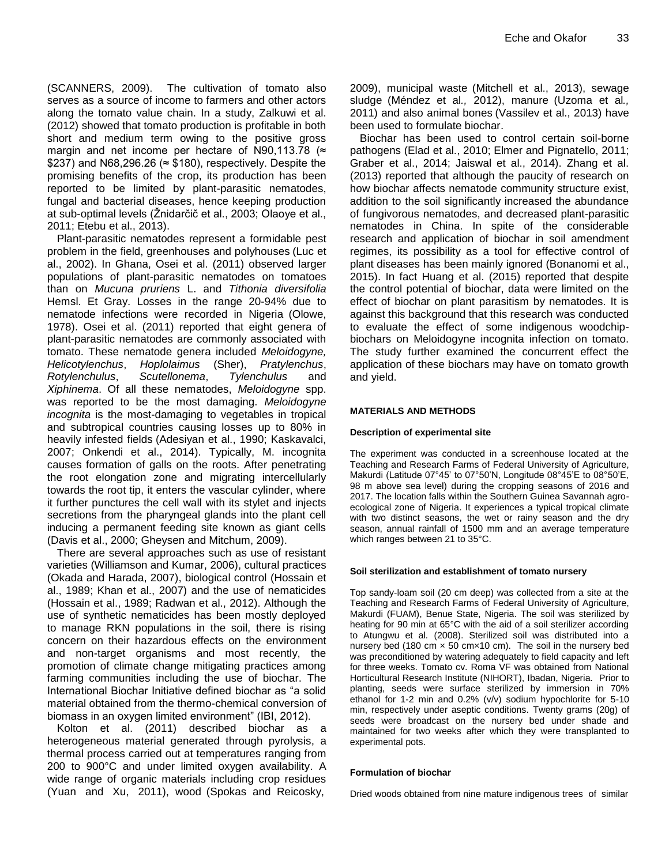(SCANNERS, 2009). The cultivation of tomato also serves as a source of income to farmers and other actors along the tomato value chain. In a study, Zalkuwi et al. (2012) showed that tomato production is profitable in both short and medium term owing to the positive gross margin and net income per hectare of N90,113.78 ( $\approx$ \$237) and N68,296.26 ( $\approx$  \$180), respectively. Despite the promising benefits of the crop, its production has been reported to be limited by plant-parasitic nematodes, fungal and bacterial diseases, hence keeping production at sub-optimal levels (Žnidarčič et al., 2003; Olaoye et al., 2011; Etebu et al., 2013).

Plant-parasitic nematodes represent a formidable pest problem in the field, greenhouses and polyhouses (Luc et al., 2002). In Ghana, Osei et al. (2011) observed larger populations of plant-parasitic nematodes on tomatoes than on *Mucuna pruriens* L. and *Tithonia diversifolia* Hemsl. Et Gray. Losses in the range 20-94% due to nematode infections were recorded in Nigeria (Olowe, 1978). Osei et al. (2011) reported that eight genera of plant-parasitic nematodes are commonly associated with tomato. These nematode genera included *Meloidogyne, Helicotylenchus*, *Hoplolaimus* (Sher), *Pratylenchus*, *Rotylenchulus*, *Scutellonema*, *Tylenchulus* and *Xiphinema*. Of all these nematodes, *Meloidogyne* spp. was reported to be the most damaging. *Meloidogyne incognita* is the most-damaging to vegetables in tropical and subtropical countries causing losses up to 80% in heavily infested fields (Adesiyan et al., 1990; Kaskavalci, 2007; Onkendi et al., 2014). Typically, M. incognita causes formation of galls on the roots. After penetrating the root elongation zone and migrating intercellularly towards the root tip, it enters the vascular cylinder, where it further punctures the cell wall with its stylet and injects secretions from the pharyngeal glands into the plant cell inducing a permanent feeding site known as giant cells (Davis et al., 2000; Gheysen and Mitchum, 2009).

There are several approaches such as use of resistant varieties (Williamson and Kumar, 2006), cultural practices (Okada and Harada, 2007), biological control (Hossain et al., 1989; Khan et al., 2007) and the use of nematicides (Hossain et al., 1989; Radwan et al., 2012). Although the use of synthetic nematicides has been mostly deployed to manage RKN populations in the soil, there is rising concern on their hazardous effects on the environment and non-target organisms and most recently, the promotion of climate change mitigating practices among farming communities including the use of biochar. The International Biochar Initiative defined biochar as "a solid material obtained from the thermo-chemical conversion of biomass in an oxygen limited environment" (IBI, 2012).

Kolton et al. (2011) described biochar as a heterogeneous material generated through pyrolysis, a thermal process carried out at temperatures ranging from 200 to 900°C and under limited oxygen availability. A wide range of organic materials including crop residues (Yuan and Xu, 2011), wood (Spokas and Reicosky,

2009), municipal waste (Mitchell et al., 2013), sewage sludge (Méndez et al*.,* 2012), manure (Uzoma et al*.,* 2011) and also animal bones (Vassilev et al., 2013) have been used to formulate biochar.

Biochar has been used to control certain soil-borne pathogens (Elad et al., 2010; Elmer and Pignatello, 2011; Graber et al., 2014; Jaiswal et al., 2014). Zhang et al. (2013) reported that although the paucity of research on how biochar affects nematode community structure exist, addition to the soil significantly increased the abundance of fungivorous nematodes, and decreased plant-parasitic nematodes in China. In spite of the considerable research and application of biochar in soil amendment regimes, its possibility as a tool for effective control of plant diseases has been mainly ignored (Bonanomi et al., 2015). In fact Huang et al. (2015) reported that despite the control potential of biochar, data were limited on the effect of biochar on plant parasitism by nematodes. It is against this background that this research was conducted to evaluate the effect of some indigenous woodchipbiochars on Meloidogyne incognita infection on tomato. The study further examined the concurrent effect the application of these biochars may have on tomato growth and yield.

# **MATERIALS AND METHODS**

# **Description of experimental site**

The experiment was conducted in a screenhouse located at the Teaching and Research Farms of Federal University of Agriculture, Makurdi (Latitude 07°45' to 07°50'N, Longitude 08°45'E to 08°50'E, 98 m above sea level) during the cropping seasons of 2016 and 2017. The location falls within the Southern Guinea Savannah agroecological zone of Nigeria. It experiences a typical tropical climate with two distinct seasons, the wet or rainy season and the dry season, annual rainfall of 1500 mm and an average temperature which ranges between 21 to 35°C.

# **Soil sterilization and establishment of tomato nursery**

Top sandy-loam soil (20 cm deep) was collected from a site at the Teaching and Research Farms of Federal University of Agriculture, Makurdi (FUAM), Benue State, Nigeria. The soil was sterilized by heating for 90 min at 65°C with the aid of a soil sterilizer according to Atungwu et al*.* (2008). Sterilized soil was distributed into a nursery bed (180 cm  $\times$  50 cm $\times$ 10 cm). The soil in the nursery bed was preconditioned by watering adequately to field capacity and left for three weeks. Tomato cv. Roma VF was obtained from National Horticultural Research Institute (NIHORT), Ibadan, Nigeria. Prior to planting, seeds were surface sterilized by immersion in 70% ethanol for 1-2 min and 0.2% (v/v) sodium hypochlorite for 5-10 min, respectively under aseptic conditions. Twenty grams (20g) of seeds were broadcast on the nursery bed under shade and maintained for two weeks after which they were transplanted to experimental pots.

# **Formulation of biochar**

Dried woods obtained from nine mature indigenous trees of similar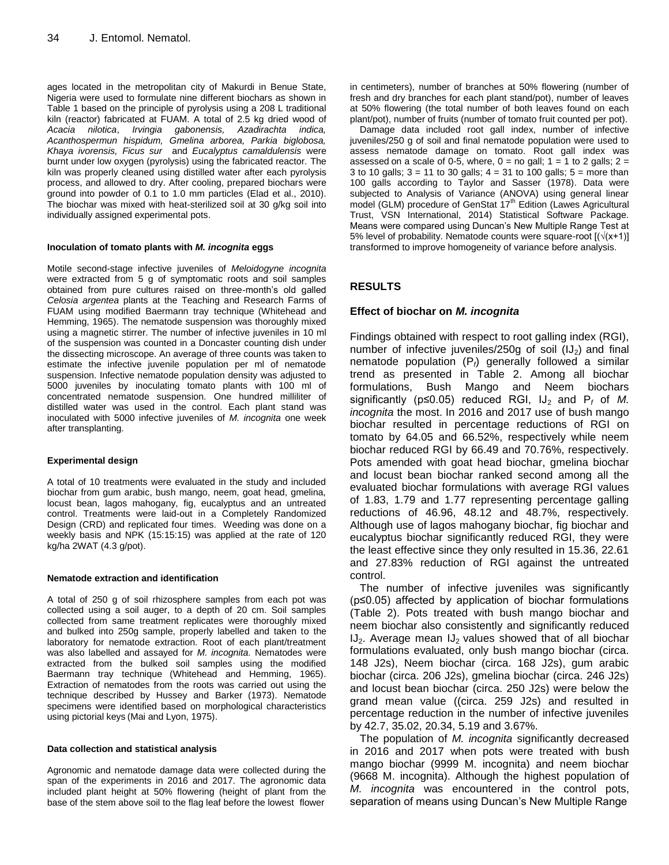ages located in the metropolitan city of Makurdi in Benue State, Nigeria were used to formulate nine different biochars as shown in Table 1 based on the principle of pyrolysis using a 208 L traditional kiln (reactor) fabricated at FUAM. A total of 2.5 kg dried wood of *Acacia nilotica*, *Irvingia gabonensis, Azadirachta indica, Acanthospermun hispidum, Gmelina arborea, Parkia biglobosa, Khaya ivorensis, Ficus sur* and *Eucalyptus camaldulensis* were burnt under low oxygen (pyrolysis) using the fabricated reactor. The kiln was properly cleaned using distilled water after each pyrolysis process, and allowed to dry. After cooling, prepared biochars were ground into powder of 0.1 to 1.0 mm particles (Elad et al., 2010). The biochar was mixed with heat-sterilized soil at 30 g/kg soil into individually assigned experimental pots.

#### **Inoculation of tomato plants with** *M. incognita* **eggs**

Motile second-stage infective juveniles of *Meloidogyne incognita* were extracted from 5 g of symptomatic roots and soil samples obtained from pure cultures raised on three-month's old galled *Celosia argentea* plants at the Teaching and Research Farms of FUAM using modified Baermann tray technique (Whitehead and Hemming, 1965). The nematode suspension was thoroughly mixed using a magnetic stirrer. The number of infective juveniles in 10 ml of the suspension was counted in a Doncaster counting dish under the dissecting microscope. An average of three counts was taken to estimate the infective juvenile population per ml of nematode suspension. Infective nematode population density was adjusted to 5000 juveniles by inoculating tomato plants with 100 ml of concentrated nematode suspension. One hundred milliliter of distilled water was used in the control. Each plant stand was inoculated with 5000 infective juveniles of *M. incognita* one week after transplanting.

# **Experimental design**

A total of 10 treatments were evaluated in the study and included biochar from gum arabic, bush mango, neem, goat head, gmelina, locust bean, lagos mahogany, fig, eucalyptus and an untreated control. Treatments were laid-out in a Completely Randomized Design (CRD) and replicated four times. Weeding was done on a weekly basis and NPK (15:15:15) was applied at the rate of 120 kg/ha 2WAT (4.3 g/pot).

#### **Nematode extraction and identification**

A total of 250 g of soil rhizosphere samples from each pot was collected using a soil auger, to a depth of 20 cm. Soil samples collected from same treatment replicates were thoroughly mixed and bulked into 250g sample, properly labelled and taken to the laboratory for nematode extraction. Root of each plant/treatment was also labelled and assayed for *M. incognita.* Nematodes were extracted from the bulked soil samples using the modified Baermann tray technique (Whitehead and Hemming, 1965). Extraction of nematodes from the roots was carried out using the technique described by Hussey and Barker (1973). Nematode specimens were identified based on morphological characteristics using pictorial keys (Mai and Lyon, 1975).

#### **Data collection and statistical analysis**

Agronomic and nematode damage data were collected during the span of the experiments in 2016 and 2017. The agronomic data included plant height at 50% flowering (height of plant from the base of the stem above soil to the flag leaf before the lowest flower

in centimeters), number of branches at 50% flowering (number of fresh and dry branches for each plant stand/pot), number of leaves at 50% flowering (the total number of both leaves found on each plant/pot), number of fruits (number of tomato fruit counted per pot).

Damage data included root gall index, number of infective juveniles/250 g of soil and final nematode population were used to assess nematode damage on tomato. Root gall index was assessed on a scale of 0-5, where,  $0 =$  no gall;  $1 = 1$  to 2 galls;  $2 =$ 3 to 10 galls; 3 = 11 to 30 galls; 4 = 31 to 100 galls; 5 = more than 100 galls according to Taylor and Sasser (1978). Data were subjected to Analysis of Variance (ANOVA) using general linear model (GLM) procedure of GenStat 17<sup>th</sup> Edition (Lawes Agricultural Trust, VSN International, 2014) Statistical Software Package. Means were compared using Duncan's New Multiple Range Test at 5% level of probability. Nematode counts were square-root  $[(\sqrt{x+1})]$ transformed to improve homogeneity of variance before analysis.

# **RESULTS**

# **Effect of biochar on** *M. incognita*

Findings obtained with respect to root galling index (RGI), number of infective juveniles/250g of soil  $(IJ<sub>2</sub>)$  and final nematode population (P*f*) generally followed a similar trend as presented in Table 2. Among all biochar formulations, Bush Mango and Neem biochars significantly ( $p \le 0.05$ ) reduced RGI,  $U_2$  and  $P_f$  of M. *incognita* the most. In 2016 and 2017 use of bush mango biochar resulted in percentage reductions of RGI on tomato by 64.05 and 66.52%, respectively while neem biochar reduced RGI by 66.49 and 70.76%, respectively. Pots amended with goat head biochar, gmelina biochar and locust bean biochar ranked second among all the evaluated biochar formulations with average RGI values of 1.83, 1.79 and 1.77 representing percentage galling reductions of 46.96, 48.12 and 48.7%, respectively. Although use of lagos mahogany biochar, fig biochar and eucalyptus biochar significantly reduced RGI, they were the least effective since they only resulted in 15.36, 22.61 and 27.83% reduction of RGI against the untreated control.

The number of infective juveniles was significantly (p≤0.05) affected by application of biochar formulations (Table 2). Pots treated with bush mango biochar and neem biochar also consistently and significantly reduced  $IJ_2$ . Average mean  $IJ_2$  values showed that of all biochar formulations evaluated, only bush mango biochar (circa. 148 J2s), Neem biochar (circa. 168 J2s), gum arabic biochar (circa. 206 J2s), gmelina biochar (circa. 246 J2s) and locust bean biochar (circa. 250 J2s) were below the grand mean value ((circa. 259 J2s) and resulted in percentage reduction in the number of infective juveniles by 42.7, 35.02, 20.34, 5.19 and 3.67%.

The population of *M. incognita* significantly decreased in 2016 and 2017 when pots were treated with bush mango biochar (9999 M. incognita) and neem biochar (9668 M. incognita). Although the highest population of *M. incognita* was encountered in the control pots, separation of means using Duncan's New Multiple Range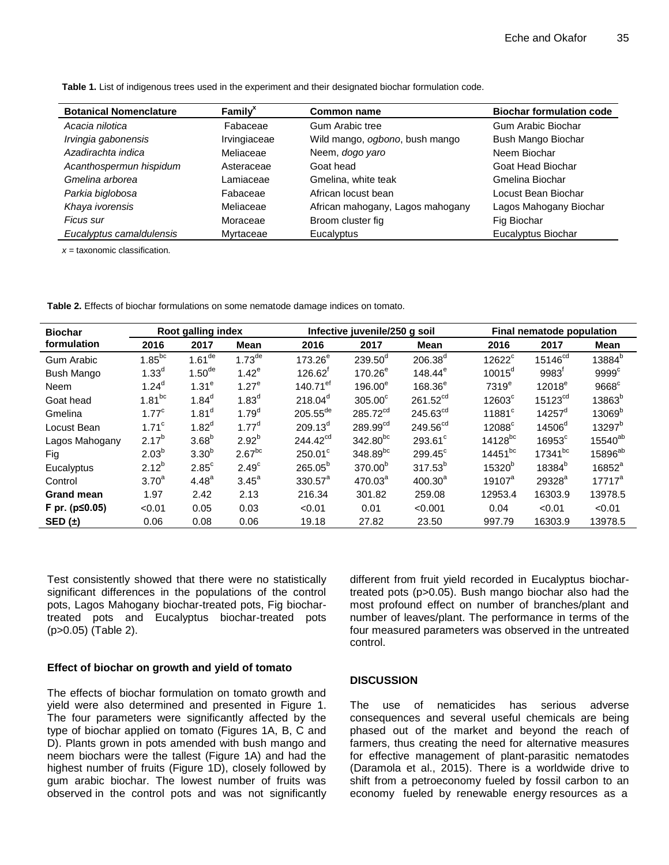| <b>Botanical Nomenclature</b> | Family <sup>x</sup> | <b>Common name</b>               | <b>Biochar formulation code</b> |  |
|-------------------------------|---------------------|----------------------------------|---------------------------------|--|
| Acacia nilotica               | Fabaceae            | Gum Arabic tree                  | Gum Arabic Biochar              |  |
| Irvingia gabonensis           | Irvingiaceae        | Wild mango, ogbono, bush mango   | Bush Mango Biochar              |  |
| Azadirachta indica            | Meliaceae           | Neem, dogo yaro                  | Neem Biochar                    |  |
| Acanthospermun hispidum       | Asteraceae          | Goat head                        | Goat Head Biochar               |  |
| Gmelina arborea               | Lamiaceae           | Gmelina, white teak              | Gmelina Biochar                 |  |
| Parkia biglobosa              | Fabaceae            | African locust bean              | Locust Bean Biochar             |  |
| Khaya ivorensis               | Meliaceae           | African mahogany, Lagos mahogany | Lagos Mahogany Biochar          |  |
| Ficus sur                     | Moraceae            | Broom cluster fig                | Fig Biochar                     |  |
| Eucalyptus camaldulensis      | Myrtaceae           | Eucalyptus                       | Eucalyptus Biochar              |  |

**Table 1.** List of indigenous trees used in the experiment and their designated biochar formulation code.

*x* = taxonomic classification.

**Table 2.** Effects of biochar formulations on some nematode damage indices on tomato.

| <b>Biochar</b><br>formulation | Root galling index |                      |                    | Infective juvenile/250 g soil |                      |                      | Final nematode population |                       |                     |
|-------------------------------|--------------------|----------------------|--------------------|-------------------------------|----------------------|----------------------|---------------------------|-----------------------|---------------------|
|                               | 2016               | 2017                 | <b>Mean</b>        | 2016                          | 2017                 | Mean                 | 2016                      | 2017                  | Mean                |
| <b>Gum Arabic</b>             | $1.85^{bc}$        | $1.61$ <sup>de</sup> | $1.73^{\text{de}}$ | 173.26 <sup>e</sup>           | $239.50^d$           | $206.38^{d}$         | $12622^c$                 | 15146 <sup>cd</sup>   | 13884 <sup>b</sup>  |
| Bush Mango                    | 1.33 <sup>d</sup>  | $1.50$ <sup>de</sup> | $1.42^e$           | $126.62^t$                    | $170.26^e$           | $148.44^e$           | $10015^d$                 | $9983^t$              | $9999$ <sup>c</sup> |
| Neem                          | $1.24^{d}$         | 1.31 <sup>e</sup>    | 1.27 <sup>e</sup>  | 140.71 $^{\sf ef}$            | 196.00 <sup>e</sup>  | $168.36^e$           | 7319 <sup>e</sup>         | $12018^e$             | $9668$ <sup>c</sup> |
| Goat head                     | $1.81^{bc}$        | $1.84^d$             | 1.83 <sup>d</sup>  | $218.04^d$                    | $305.00^\circ$       | 261.52 <sup>cd</sup> | $12603^{\circ}$           | $15123$ <sup>cd</sup> | 13863 <sup>b</sup>  |
| Gmelina                       | 1.77 <sup>c</sup>  | 1.81 <sup>d</sup>    | $1.79^{d}$         | $205.55^{de}$                 | 285.72 <sup>cd</sup> | $245.63^{cd}$        | $11881^c$                 | $14257^{\circ}$       | 13069 <sup>b</sup>  |
| Locust Bean                   | 1.71 <sup>c</sup>  | $1.82^{d}$           | 1.77 <sup>d</sup>  | $209.13^d$                    | $289.99^{cd}$        | 249.56 <sup>cd</sup> | $12088^{\circ}$           | 14506 <sup>d</sup>    | 13297 <sup>b</sup>  |
| Lagos Mahogany                | $2.17^{b}$         | 3.68 <sup>b</sup>    | $2.92^{b}$         | 244.42 <sup>cd</sup>          | $342.80^{bc}$        | 293.61 <sup>c</sup>  | $14128^{bc}$              | $16953^{\circ}$       | 15540 <sup>ab</sup> |
| Fig                           | $2.03^{b}$         | 3.30 <sup>b</sup>    | $2.67^{bc}$        | $250.01^{\circ}$              | 348.89bc             | $299.45^{\circ}$     | $14451^{bc}$              | 17341 <sup>bc</sup>   | $15896^{ab}$        |
| Eucalyptus                    | $2.12^{b}$         | $2.85^{\circ}$       | 2.49 <sup>c</sup>  | $265.05^{b}$                  | 370.00 <sup>b</sup>  | $317.53^{b}$         | 15320 <sup>b</sup>        | 18384 <sup>b</sup>    | $16852^a$           |
| Control                       | 3.70 <sup>a</sup>  | $4.48^{a}$           | 3.45 <sup>a</sup>  | $330.57^a$                    | 470.03 <sup>a</sup>  | 400.30 <sup>a</sup>  | $19107^a$                 | 29328 <sup>a</sup>    | $17717^a$           |
| <b>Grand mean</b>             | 1.97               | 2.42                 | 2.13               | 216.34                        | 301.82               | 259.08               | 12953.4                   | 16303.9               | 13978.5             |
| F pr. (p≤0.05)                | < 0.01             | 0.05                 | 0.03               | < 0.01                        | 0.01                 | < 0.001              | 0.04                      | < 0.01                | < 0.01              |
| SED $(\pm)$                   | 0.06               | 0.08                 | 0.06               | 19.18                         | 27.82                | 23.50                | 997.79                    | 16303.9               | 13978.5             |

Test consistently showed that there were no statistically significant differences in the populations of the control pots, Lagos Mahogany biochar-treated pots, Fig biochartreated pots and Eucalyptus biochar-treated pots (p>0.05) (Table 2).

# **Effect of biochar on growth and yield of tomato**

The effects of biochar formulation on tomato growth and yield were also determined and presented in Figure 1. The four parameters were significantly affected by the type of biochar applied on tomato (Figures 1A, B, C and D). Plants grown in pots amended with bush mango and neem biochars were the tallest (Figure 1A) and had the highest number of fruits (Figure 1D), closely followed by gum arabic biochar. The lowest number of fruits was observed in the control pots and was not significantly

different from fruit yield recorded in Eucalyptus biochartreated pots (p>0.05). Bush mango biochar also had the most profound effect on number of branches/plant and number of leaves/plant. The performance in terms of the four measured parameters was observed in the untreated control.

# **DISCUSSION**

The use of nematicides has serious adverse consequences and several useful chemicals are being phased out of the market and beyond the reach of farmers, thus creating the need for alternative measures for effective management of plant-parasitic nematodes (Daramola et al., 2015). There is a worldwide drive to shift from a petroeconomy fueled by fossil carbon to an economy fueled by renewable energy resources as a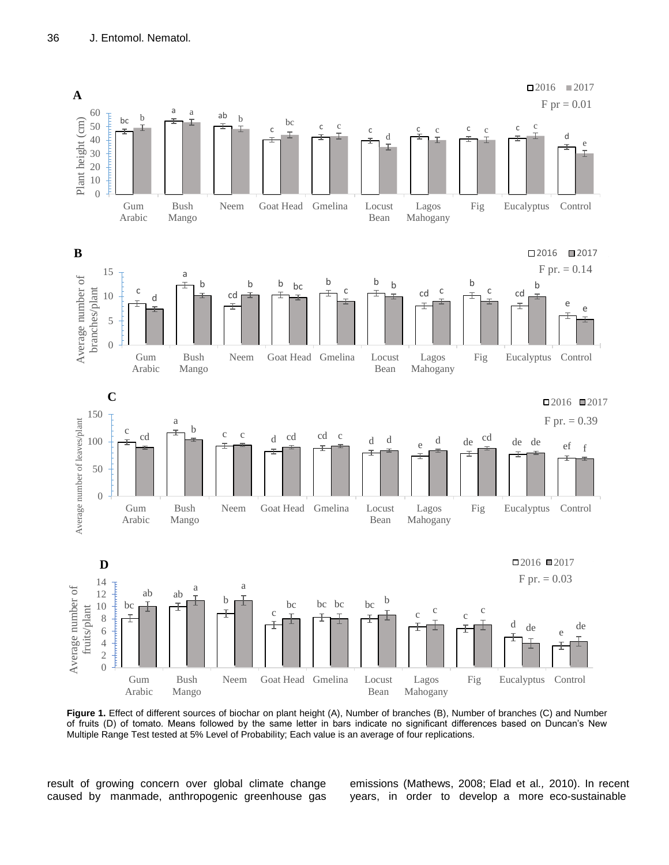

**Figure 1.** Effect of different sources of biochar on plant height (A), Number of branches (B), Number of branches (C) and Number of fruits (D) of tomato. Means followed by the same letter in bars indicate no significant differences based on Duncan's New Multiple Range Test tested at 5% Level of Probability; Each value is an average of four replications.

result of growing concern over global climate change caused by manmade, anthropogenic greenhouse gas

emissions (Mathews, 2008; Elad et al*.,* 2010). In recent years, in order to develop a more eco-sustainable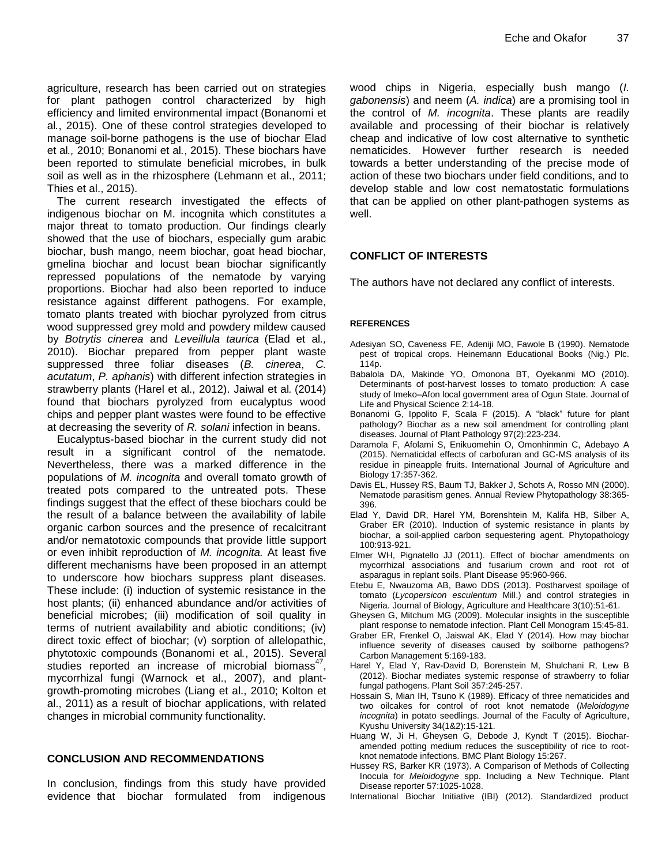agriculture, research has been carried out on strategies for plant pathogen control characterized by high efficiency and limited environmental impact (Bonanomi et al*.*, 2015). One of these control strategies developed to manage soil-borne pathogens is the use of biochar Elad et al*.,* 2010; Bonanomi et al*.*, 2015). These biochars have been reported to stimulate beneficial microbes, in bulk soil as well as in the rhizosphere (Lehmann et al., 2011; Thies et al., 2015).

The current research investigated the effects of indigenous biochar on M. incognita which constitutes a major threat to tomato production. Our findings clearly showed that the use of biochars, especially gum arabic biochar, bush mango, neem biochar, goat head biochar, gmelina biochar and locust bean biochar significantly repressed populations of the nematode by varying proportions. Biochar had also been reported to induce resistance against different pathogens. For example, tomato plants treated with biochar pyrolyzed from citrus wood suppressed grey mold and powdery mildew caused by *Botrytis cinerea* and *Leveillula taurica* (Elad et al*.,* 2010). Biochar prepared from pepper plant waste suppressed three foliar diseases (*B. cinerea*, *C. acutatum*, *P. aphanis*) with different infection strategies in strawberry plants (Harel et al., 2012). Jaiwal et al*.* (2014) found that biochars pyrolyzed from eucalyptus wood chips and pepper plant wastes were found to be effective at decreasing the severity of *R. solani* infection in beans.

Eucalyptus-based biochar in the current study did not result in a significant control of the nematode. Nevertheless, there was a marked difference in the populations of *M. incognita* and overall tomato growth of treated pots compared to the untreated pots. These findings suggest that the effect of these biochars could be the result of a balance between the availability of labile organic carbon sources and the presence of recalcitrant and/or nematotoxic compounds that provide little support or even inhibit reproduction of *M. incognita.* At least five different mechanisms have been proposed in an attempt to underscore how biochars suppress plant diseases. These include: (i) induction of systemic resistance in the host plants; (ii) enhanced abundance and/or activities of beneficial microbes; (iii) modification of soil quality in terms of nutrient availability and abiotic conditions; (iv) direct toxic effect of biochar; (v) sorption of allelopathic, phytotoxic compounds (Bonanomi et al*.*, 2015). Several studies reported an increase of microbial biomass $47$ , mycorrhizal fungi (Warnock et al., 2007), and plantgrowth-promoting microbes (Liang et al., 2010; Kolton et al., 2011) as a result of biochar applications, with related changes in microbial community functionality.

# **CONCLUSION AND RECOMMENDATIONS**

In conclusion, findings from this study have provided evidence that biochar formulated from indigenous wood chips in Nigeria, especially bush mango (*I. gabonensis*) and neem (*A. indica*) are a promising tool in the control of *M. incognita*. These plants are readily available and processing of their biochar is relatively cheap and indicative of low cost alternative to synthetic nematicides. However further research is needed towards a better understanding of the precise mode of action of these two biochars under field conditions, and to develop stable and low cost nematostatic formulations that can be applied on other plant-pathogen systems as well.

# **CONFLICT OF INTERESTS**

The authors have not declared any conflict of interests.

# **REFERENCES**

- Adesiyan SO, Caveness FE, Adeniji MO, Fawole B (1990). Nematode pest of tropical crops. Heinemann Educational Books (Nig.) Plc. 114p.
- Babalola DA, Makinde YO, Omonona BT, Oyekanmi MO (2010). Determinants of post-harvest losses to tomato production: A case study of Imeko–Afon local government area of Ogun State. Journal of Life and Physical Science 2:14-18.
- Bonanomi G, Ippolito F, Scala F (2015). A "black" future for plant pathology? Biochar as a new soil amendment for controlling plant diseases. Journal of Plant Pathology 97(2):223-234.
- Daramola F, Afolami S, Enikuomehin O, Omonhinmin C, Adebayo A (2015). Nematicidal effects of carbofuran and GC-MS analysis of its residue in pineapple fruits. International Journal of Agriculture and Biology 17:357-362.
- Davis EL, Hussey RS, Baum TJ, Bakker J, Schots A, Rosso MN (2000). Nematode parasitism genes. Annual Review Phytopathology 38:365- 396.
- Elad Y, David DR, Harel YM, Borenshtein M, Kalifa HB, Silber A, Graber ER (2010). Induction of systemic resistance in plants by biochar, a soil-applied carbon sequestering agent. Phytopathology 100:913-921.
- Elmer WH, Pignatello JJ (2011). Effect of biochar amendments on mycorrhizal associations and fusarium crown and root rot of asparagus in replant soils. Plant Disease 95:960-966.
- Etebu E, Nwauzoma AB, Bawo DDS (2013). Postharvest spoilage of tomato (*Lycopersicon esculentum* Mill.) and control strategies in Nigeria. Journal of Biology, Agriculture and Healthcare 3(10):51-61.
- Gheysen G, Mitchum MG (2009). Molecular insights in the susceptible plant response to nematode infection. Plant Cell Monogram 15:45-81.
- Graber ER, Frenkel O, Jaiswal AK, Elad Y (2014). How may biochar influence severity of diseases caused by soilborne pathogens? Carbon Management 5:169-183.
- Harel Y, Elad Y, Rav-David D, Borenstein M, Shulchani R, Lew B (2012). Biochar mediates systemic response of strawberry to foliar fungal pathogens. Plant Soil 357:245-257.
- Hossain S, Mian IH, Tsuno K (1989). Efficacy of three nematicides and two oilcakes for control of root knot nematode (*Meloidogyne incognita*) in potato seedlings. Journal of the Faculty of Agriculture, Kyushu University 34(1&2):15-121.
- Huang W, Ji H, Gheysen G, Debode J, Kyndt T (2015). Biocharamended potting medium reduces the susceptibility of rice to rootknot nematode infections. BMC Plant Biology 15:267.
- Hussey RS, Barker KR (1973). A Comparison of Methods of Collecting Inocula for *Meloidogyne* spp. Including a New Technique. Plant Disease reporter 57:1025-1028.
- International Biochar Initiative (IBI) (2012). Standardized product